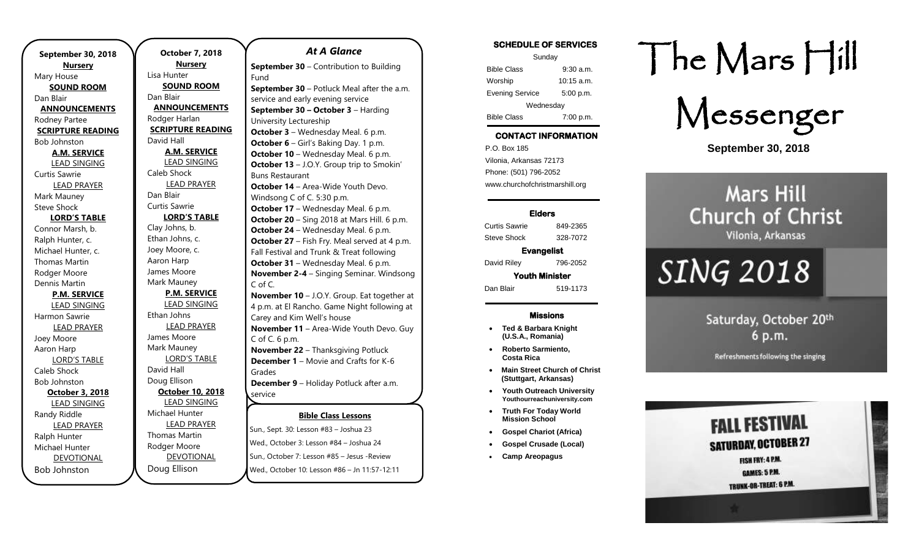| <b>Nursery</b><br>Mary House<br><b>SOUND ROOM</b><br>Dan Blair<br><b>ANNOUNCEMENTS</b><br>Rodney Partee<br><b>SCRIPTURE READING</b><br><b>Bob Johnston</b><br><b>A.M. SERVICE</b> |  |  |
|-----------------------------------------------------------------------------------------------------------------------------------------------------------------------------------|--|--|
|                                                                                                                                                                                   |  |  |
|                                                                                                                                                                                   |  |  |
|                                                                                                                                                                                   |  |  |
|                                                                                                                                                                                   |  |  |
|                                                                                                                                                                                   |  |  |
|                                                                                                                                                                                   |  |  |
|                                                                                                                                                                                   |  |  |
|                                                                                                                                                                                   |  |  |
|                                                                                                                                                                                   |  |  |
| <b>LEAD SINGING</b>                                                                                                                                                               |  |  |
| Curtis Sawrie                                                                                                                                                                     |  |  |
| <b>LEAD PRAYER</b>                                                                                                                                                                |  |  |
| Mark Mauney                                                                                                                                                                       |  |  |
| <b>Steve Shock</b>                                                                                                                                                                |  |  |
| <b>LORD'S TABLE</b>                                                                                                                                                               |  |  |
| Connor Marsh, b.                                                                                                                                                                  |  |  |
| Ralph Hunter, c.                                                                                                                                                                  |  |  |
| Michael Hunter, c.                                                                                                                                                                |  |  |
| <b>Thomas Martin</b>                                                                                                                                                              |  |  |
| Rodger Moore                                                                                                                                                                      |  |  |
| Dennis Martin                                                                                                                                                                     |  |  |
| <b>P.M. SERVICE</b>                                                                                                                                                               |  |  |
| <b>LEAD SINGING</b>                                                                                                                                                               |  |  |
| Harmon Sawrie                                                                                                                                                                     |  |  |
| <b>LEAD PRAYER</b>                                                                                                                                                                |  |  |
| Joey Moore                                                                                                                                                                        |  |  |
| Aaron Harp                                                                                                                                                                        |  |  |
| <b>LORD'S TABLE</b>                                                                                                                                                               |  |  |
| Caleb Shock                                                                                                                                                                       |  |  |
| <b>Bob Johnston</b>                                                                                                                                                               |  |  |
| October 3, 2018                                                                                                                                                                   |  |  |
| <b>LEAD SINGING</b><br>Randy Riddle                                                                                                                                               |  |  |
| <b>LEAD PRAYER</b>                                                                                                                                                                |  |  |
| Ralph Hunter                                                                                                                                                                      |  |  |
| Michael Hunter                                                                                                                                                                    |  |  |
| <b>DEVOTIONAL</b>                                                                                                                                                                 |  |  |
| <b>Bob Johnston</b>                                                                                                                                                               |  |  |

**October 7, 2018 Nursery** Lisa Hunter **SOUND ROOM** Dan Blair **ANNOUNCEMENTS** Rodger Harlan **SCRIPTURE READING** David Hall **A.M. SERVICE** LEAD SINGING Caleb Shock LEAD PRAYER Dan Blair Curtis Sawrie **LORD'S TABLE** Clay Johns, b. Ethan Johns, c. Joey Moore, c. Aaron Harp James Moore Mark Mauney **P.M. SERVICE** LEAD SINGING Ethan Johns LEAD PRAYER James Moore Mark Mauney LORD'S TABLE David Hall Doug Ellison **October 10, 2018** LEAD SINGING Michael Hunter LEAD PRAYER Thomas Martin Rodger Moore DEVOTIONAL Doug Ellison Sun., October 7: Lesson #85 – Jesus -Review Wed., October 10: Lesson #86 – Jn 11:57-12:11

### **Bible Class Lessons** Sun., Sept. 30: Lesson #83 – Joshua 23 Wed., October 3: Lesson #84 – Joshua 24 *At A Glance*  **September 30** – Contribution to Building Fund **September 30** – Potluck Meal after the a.m. service and early evening service **September 30 – October 3** – Harding University Lectureship **October 3** – Wednesday Meal. 6 p.m. **October 6** – Girl's Baking Day. 1 p.m. **October 10** – Wednesday Meal. 6 p.m. **October 13** – J.O.Y. Group trip to Smokin' Buns Restaurant **October 14** – Area-Wide Youth Devo. Windsong C of C. 5:30 p.m. **October 17** – Wednesday Meal. 6 p.m. **October 20** – Sing 2018 at Mars Hill. 6 p.m. **October 24** – Wednesday Meal. 6 p.m. **October 27** – Fish Fry. Meal served at 4 p.m. Fall Festival and Trunk & Treat following **October 31** – Wednesday Meal. 6 p.m. **November 2-4** – Singing Seminar. Windsong C of C. **November 10** – J.O.Y. Group. Eat together at 4 p.m. at El Rancho. Game Night following at Carey and Kim Well's house **November 11** – Area-Wide Youth Devo. Guy C of C. 6 p.m. **November 22** – Thanksgiving Potluck **December 1** – Movie and Crafts for K-6 Grades **December 9** – Holiday Potluck after a.m. service **December 10** – Area-Wide Youth Devo.

**SCHEDULE OF SERVICES** 

| Sunday                 |              |  |
|------------------------|--------------|--|
| <b>Bible Class</b>     | $9:30$ a.m.  |  |
| Worship                | $10:15$ a.m. |  |
| <b>Evening Service</b> | 5:00 p.m.    |  |
| Wednesday              |              |  |
| <b>Bible Class</b>     | 7:00 p.m.    |  |

### **CONTACT INFORMATION**

. .o. Box 166<br>Vilonia, Arkansas 72173 P.O. Box 185 Phone: (501) 796-2052 www.churchofchristmarshill.org

### **Elders**

Curtis Sawrie 849-2365 Steve Shock 328-7072

**Evangelist**  David Riley 796-2052

**Youth Minister** 

Dan Blair 519-1173

#### **Missions**

- **Ted & Barbara Knight (U.S.A., Romania)**
- **Roberto Sarmiento, Costa Rica**
- **Main Street Church of Christ (Stuttgart, Arkansas)**
- **Youth Outreach University Youthourreachuniversity.com**
- **Truth For Today World Mission School**
- **Gospel Chariot (Africa)**
- **Gospel Crusade (Local)**
- **Camp Areopagus**

# The Mars Hill



**September 30, 2018**

### **Mars Hill Church of Christ** Vilonia, Arkansas

## **SING 2018**

Saturday, October 20th 6 p.m.

Refreshments following the singing

**FALL FESTIVAL SATURDAY, OCTOBER 27** FISH FRY: 4 P.M. GAMES: 5 P.M.

TRUNK-OR-TREAT: 6 P.M.